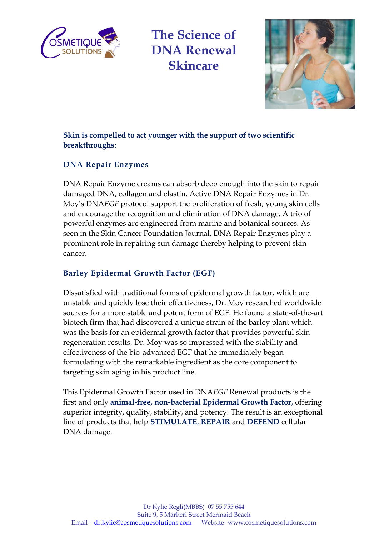



### **Skin is compelled to act younger with the support of two scientific breakthroughs:**

#### **DNA Repair Enzymes**

DNA Repair Enzyme creams can absorb deep enough into the skin to repair damaged DNA, collagen and elastin. Active DNA Repair Enzymes in Dr. Moy's DNA*EGF* protocol support the proliferation of fresh, young skin cells and encourage the recognition and elimination of DNA damage. A trio of powerful enzymes are engineered from marine and botanical sources. As seen in the [Skin Cancer Foundation](http://www.skincancer.org/) Journal, DNA Repair Enzymes play a prominent role in repairing sun damage thereby helping to prevent skin cancer.

#### **Barley Epidermal Growth Factor (EGF)**

Dissatisfied with traditional forms of epidermal growth factor, which are unstable and quickly lose their effectiveness, Dr. Moy researched worldwide sources for a more stable and potent form of EGF. He found a state-of-the-art biotech firm that had discovered a unique strain of the barley plant which was the basis for an epidermal growth factor that provides powerful skin regeneration results. Dr. Moy was so impressed with the stability and effectiveness of the bio-advanced EGF that he immediately began formulating with the remarkable ingredient as the core component to targeting skin aging in his product line.

This Epidermal Growth Factor used in DNA*EGF* Renewal products is the first and only **animal-free, non-bacterial Epidermal Growth Factor**, offering superior integrity, quality, stability, and potency. The result is an exceptional line of products that help **STIMULATE**, **REPAIR** and **DEFEND** cellular DNA damage.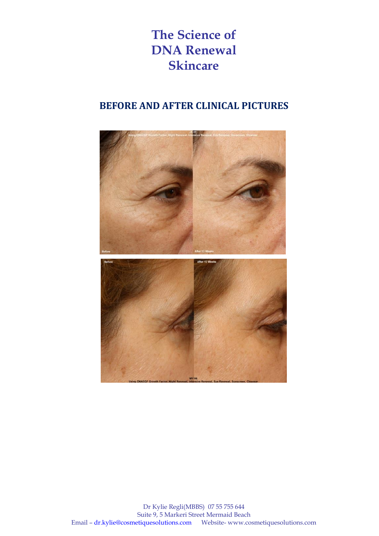### **BEFORE AND AFTER CLINICAL PICTURES**

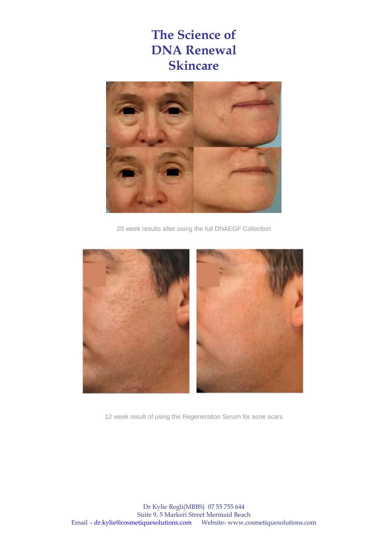

20 week results after using the full DNAEGF Collection



12 week result of using the Regeneration Serum for acne scars